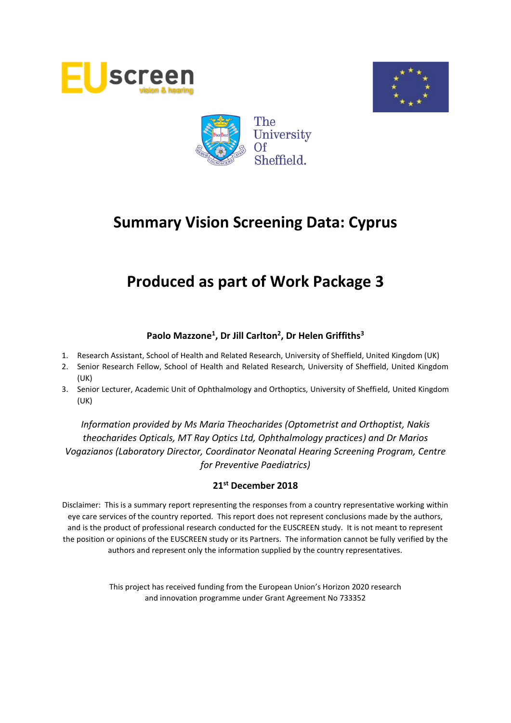





# **Produced as part of Work Package 3**

### **Paolo Mazzone<sup>1</sup> , Dr Jill Carlton<sup>2</sup> , Dr Helen Griffiths<sup>3</sup>**

- 1. Research Assistant, School of Health and Related Research, University of Sheffield, United Kingdom (UK)
- 2. Senior Research Fellow, School of Health and Related Research, University of Sheffield, United Kingdom (UK)
- 3. Senior Lecturer, Academic Unit of Ophthalmology and Orthoptics, University of Sheffield, United Kingdom (UK)

*Information provided by Ms Maria Theocharides (Optometrist and Orthoptist, Nakis theocharides Opticals, MT Ray Optics Ltd, Ophthalmology practices) and Dr Marios Vogazianos (Laboratory Director, Coordinator Neonatal Hearing Screening Program, Centre for Preventive Paediatrics)*

#### **21st December 2018**

Disclaimer: This is a summary report representing the responses from a country representative working within eye care services of the country reported. This report does not represent conclusions made by the authors, and is the product of professional research conducted for the EUSCREEN study. It is not meant to represent the position or opinions of the EUSCREEN study or its Partners. The information cannot be fully verified by the authors and represent only the information supplied by the country representatives.

> This project has received funding from the European Union's Horizon 2020 research and innovation programme under Grant Agreement No 733352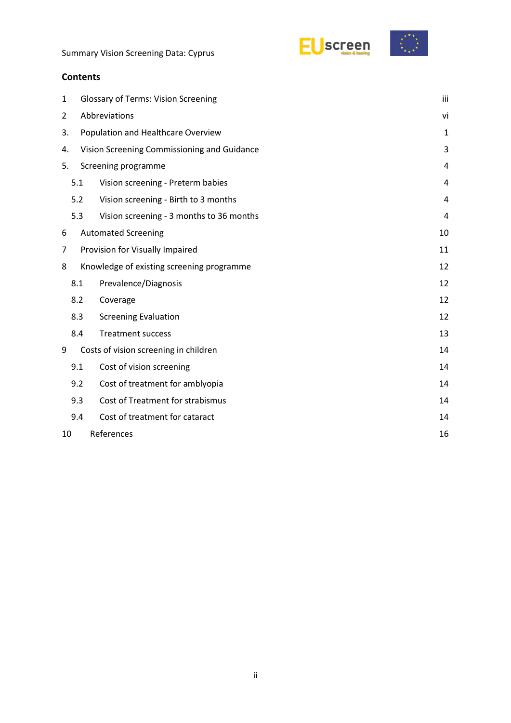



| 1  | <b>Glossary of Terms: Vision Screening</b> |                                             |              |  |  |  |
|----|--------------------------------------------|---------------------------------------------|--------------|--|--|--|
| 2  | Abbreviations                              |                                             |              |  |  |  |
| 3. |                                            | Population and Healthcare Overview          | $\mathbf{1}$ |  |  |  |
| 4. |                                            | Vision Screening Commissioning and Guidance | 3            |  |  |  |
| 5. |                                            | Screening programme                         | 4            |  |  |  |
|    | 5.1                                        | Vision screening - Preterm babies           | 4            |  |  |  |
|    | 5.2                                        | Vision screening - Birth to 3 months        | 4            |  |  |  |
|    | 5.3                                        | Vision screening - 3 months to 36 months    | 4            |  |  |  |
| 6  |                                            | <b>Automated Screening</b>                  | 10           |  |  |  |
| 7  | Provision for Visually Impaired            |                                             |              |  |  |  |
| 8  |                                            | Knowledge of existing screening programme   | 12           |  |  |  |
|    | 8.1                                        | Prevalence/Diagnosis                        | 12           |  |  |  |
|    | 8.2                                        | Coverage                                    | 12           |  |  |  |
|    | 8.3                                        | <b>Screening Evaluation</b>                 | 12           |  |  |  |
|    | 8.4                                        | <b>Treatment success</b>                    | 13           |  |  |  |
| 9  |                                            | Costs of vision screening in children       | 14           |  |  |  |
|    | 9.1                                        | Cost of vision screening                    | 14           |  |  |  |
|    | 9.2                                        | Cost of treatment for amblyopia             | 14           |  |  |  |
|    | 9.3                                        | Cost of Treatment for strabismus            | 14           |  |  |  |
|    | 9.4                                        | Cost of treatment for cataract              | 14           |  |  |  |
| 10 | References                                 |                                             |              |  |  |  |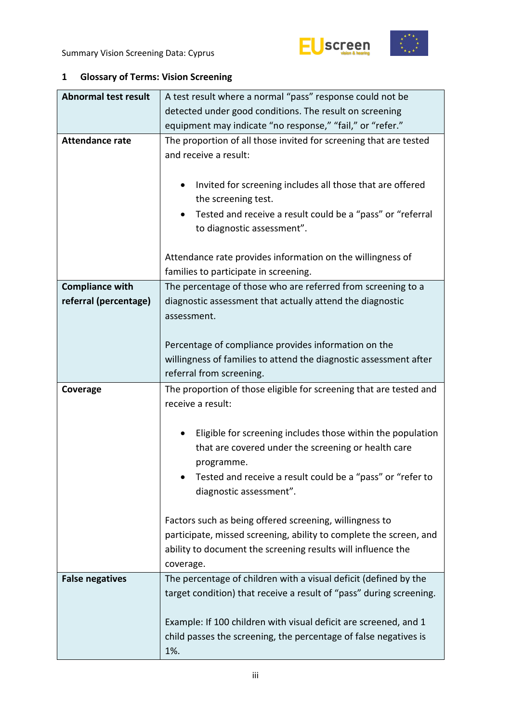



### <span id="page-2-0"></span>**1 Glossary of Terms: Vision Screening**

| <b>Abnormal test result</b> | A test result where a normal "pass" response could not be               |  |  |  |  |  |  |
|-----------------------------|-------------------------------------------------------------------------|--|--|--|--|--|--|
|                             | detected under good conditions. The result on screening                 |  |  |  |  |  |  |
|                             | equipment may indicate "no response," "fail," or "refer."               |  |  |  |  |  |  |
| <b>Attendance rate</b>      | The proportion of all those invited for screening that are tested       |  |  |  |  |  |  |
|                             | and receive a result:                                                   |  |  |  |  |  |  |
|                             |                                                                         |  |  |  |  |  |  |
|                             | Invited for screening includes all those that are offered<br>$\bullet$  |  |  |  |  |  |  |
|                             | the screening test.                                                     |  |  |  |  |  |  |
|                             | Tested and receive a result could be a "pass" or "referral<br>$\bullet$ |  |  |  |  |  |  |
|                             | to diagnostic assessment".                                              |  |  |  |  |  |  |
|                             |                                                                         |  |  |  |  |  |  |
|                             | Attendance rate provides information on the willingness of              |  |  |  |  |  |  |
|                             | families to participate in screening.                                   |  |  |  |  |  |  |
| <b>Compliance with</b>      | The percentage of those who are referred from screening to a            |  |  |  |  |  |  |
| referral (percentage)       | diagnostic assessment that actually attend the diagnostic               |  |  |  |  |  |  |
|                             | assessment.                                                             |  |  |  |  |  |  |
|                             |                                                                         |  |  |  |  |  |  |
|                             | Percentage of compliance provides information on the                    |  |  |  |  |  |  |
|                             | willingness of families to attend the diagnostic assessment after       |  |  |  |  |  |  |
|                             | referral from screening.                                                |  |  |  |  |  |  |
|                             |                                                                         |  |  |  |  |  |  |
| Coverage                    | The proportion of those eligible for screening that are tested and      |  |  |  |  |  |  |
|                             | receive a result:                                                       |  |  |  |  |  |  |
|                             |                                                                         |  |  |  |  |  |  |
|                             | Eligible for screening includes those within the population             |  |  |  |  |  |  |
|                             | that are covered under the screening or health care                     |  |  |  |  |  |  |
|                             | programme.                                                              |  |  |  |  |  |  |
|                             | Tested and receive a result could be a "pass" or "refer to              |  |  |  |  |  |  |
|                             | diagnostic assessment".                                                 |  |  |  |  |  |  |
|                             |                                                                         |  |  |  |  |  |  |
|                             | Factors such as being offered screening, willingness to                 |  |  |  |  |  |  |
|                             | participate, missed screening, ability to complete the screen, and      |  |  |  |  |  |  |
|                             | ability to document the screening results will influence the            |  |  |  |  |  |  |
|                             | coverage.                                                               |  |  |  |  |  |  |
| <b>False negatives</b>      | The percentage of children with a visual deficit (defined by the        |  |  |  |  |  |  |
|                             | target condition) that receive a result of "pass" during screening.     |  |  |  |  |  |  |
|                             |                                                                         |  |  |  |  |  |  |
|                             | Example: If 100 children with visual deficit are screened, and 1        |  |  |  |  |  |  |
|                             | child passes the screening, the percentage of false negatives is<br>1%. |  |  |  |  |  |  |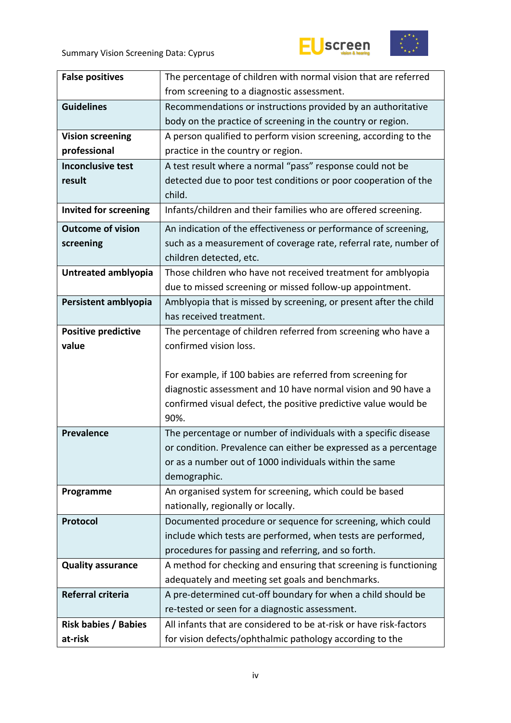



| <b>False positives</b>       | The percentage of children with normal vision that are referred    |  |  |  |  |  |
|------------------------------|--------------------------------------------------------------------|--|--|--|--|--|
|                              | from screening to a diagnostic assessment.                         |  |  |  |  |  |
| <b>Guidelines</b>            | Recommendations or instructions provided by an authoritative       |  |  |  |  |  |
|                              | body on the practice of screening in the country or region.        |  |  |  |  |  |
| <b>Vision screening</b>      | A person qualified to perform vision screening, according to the   |  |  |  |  |  |
| professional                 | practice in the country or region.                                 |  |  |  |  |  |
| <b>Inconclusive test</b>     | A test result where a normal "pass" response could not be          |  |  |  |  |  |
| result                       | detected due to poor test conditions or poor cooperation of the    |  |  |  |  |  |
|                              | child.                                                             |  |  |  |  |  |
| <b>Invited for screening</b> | Infants/children and their families who are offered screening.     |  |  |  |  |  |
| <b>Outcome of vision</b>     | An indication of the effectiveness or performance of screening,    |  |  |  |  |  |
| screening                    | such as a measurement of coverage rate, referral rate, number of   |  |  |  |  |  |
|                              | children detected, etc.                                            |  |  |  |  |  |
| Untreated amblyopia          | Those children who have not received treatment for amblyopia       |  |  |  |  |  |
|                              | due to missed screening or missed follow-up appointment.           |  |  |  |  |  |
| Persistent amblyopia         | Amblyopia that is missed by screening, or present after the child  |  |  |  |  |  |
|                              | has received treatment.                                            |  |  |  |  |  |
| <b>Positive predictive</b>   | The percentage of children referred from screening who have a      |  |  |  |  |  |
| value                        | confirmed vision loss.                                             |  |  |  |  |  |
|                              |                                                                    |  |  |  |  |  |
|                              | For example, if 100 babies are referred from screening for         |  |  |  |  |  |
|                              | diagnostic assessment and 10 have normal vision and 90 have a      |  |  |  |  |  |
|                              | confirmed visual defect, the positive predictive value would be    |  |  |  |  |  |
|                              | 90%.                                                               |  |  |  |  |  |
| <b>Prevalence</b>            | The percentage or number of individuals with a specific disease    |  |  |  |  |  |
|                              | or condition. Prevalence can either be expressed as a percentage   |  |  |  |  |  |
|                              | or as a number out of 1000 individuals within the same             |  |  |  |  |  |
|                              | demographic.                                                       |  |  |  |  |  |
| Programme                    | An organised system for screening, which could be based            |  |  |  |  |  |
|                              | nationally, regionally or locally.                                 |  |  |  |  |  |
| Protocol                     | Documented procedure or sequence for screening, which could        |  |  |  |  |  |
|                              | include which tests are performed, when tests are performed,       |  |  |  |  |  |
|                              | procedures for passing and referring, and so forth.                |  |  |  |  |  |
| <b>Quality assurance</b>     | A method for checking and ensuring that screening is functioning   |  |  |  |  |  |
|                              | adequately and meeting set goals and benchmarks.                   |  |  |  |  |  |
| Referral criteria            | A pre-determined cut-off boundary for when a child should be       |  |  |  |  |  |
|                              | re-tested or seen for a diagnostic assessment.                     |  |  |  |  |  |
| <b>Risk babies / Babies</b>  | All infants that are considered to be at-risk or have risk-factors |  |  |  |  |  |
| at-risk                      | for vision defects/ophthalmic pathology according to the           |  |  |  |  |  |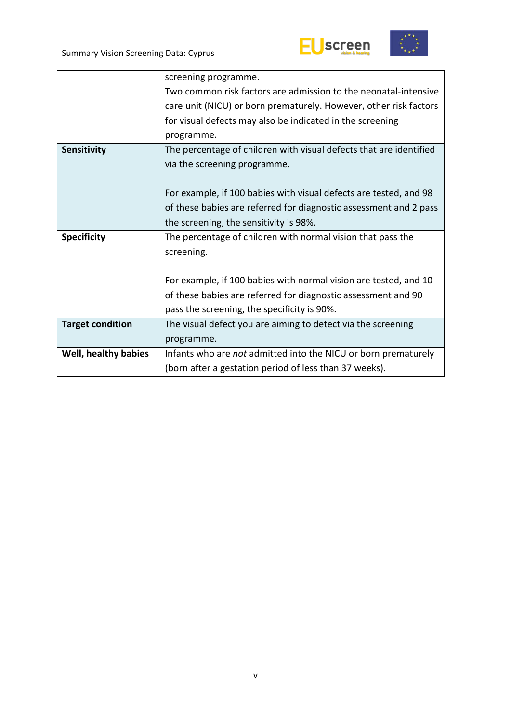



|                         | screening programme.                                               |
|-------------------------|--------------------------------------------------------------------|
|                         | Two common risk factors are admission to the neonatal-intensive    |
|                         | care unit (NICU) or born prematurely. However, other risk factors  |
|                         | for visual defects may also be indicated in the screening          |
|                         | programme.                                                         |
| Sensitivity             | The percentage of children with visual defects that are identified |
|                         | via the screening programme.                                       |
|                         |                                                                    |
|                         | For example, if 100 babies with visual defects are tested, and 98  |
|                         | of these babies are referred for diagnostic assessment and 2 pass  |
|                         | the screening, the sensitivity is 98%.                             |
| <b>Specificity</b>      | The percentage of children with normal vision that pass the        |
|                         | screening.                                                         |
|                         |                                                                    |
|                         | For example, if 100 babies with normal vision are tested, and 10   |
|                         | of these babies are referred for diagnostic assessment and 90      |
|                         | pass the screening, the specificity is 90%.                        |
| <b>Target condition</b> | The visual defect you are aiming to detect via the screening       |
|                         | programme.                                                         |
| Well, healthy babies    | Infants who are not admitted into the NICU or born prematurely     |
|                         | (born after a gestation period of less than 37 weeks).             |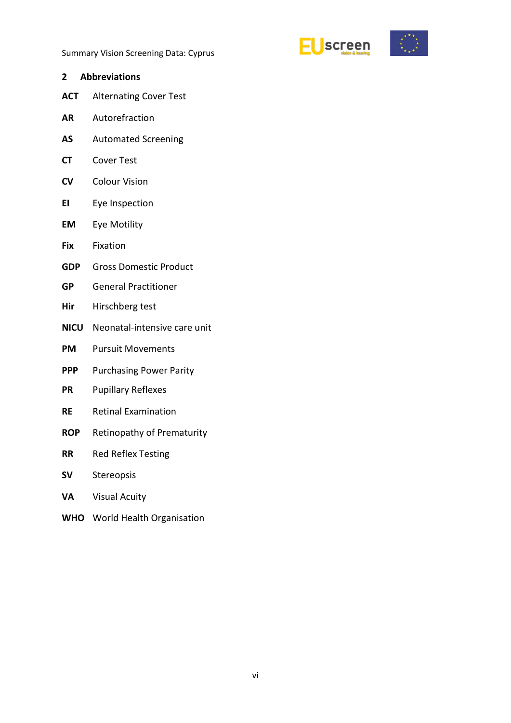

<span id="page-5-0"></span>

|           | 2 Abbreviations                   |
|-----------|-----------------------------------|
|           | <b>ACT</b> Alternating Cover Test |
| <b>AR</b> | Autorefraction                    |

- **AS** Automated Screening
- **CT** Cover Test
- **CV** Colour Vision
- **EI** Eye Inspection
- **EM** Eye Motility
- **Fix** Fixation
- **GDP** Gross Domestic Product
- **GP** General Practitioner
- **Hir** Hirschberg test
- **NICU** Neonatal-intensive care unit
- **PM** Pursuit Movements
- **PPP** Purchasing Power Parity
- **PR** Pupillary Reflexes
- **RE** Retinal Examination
- **ROP** Retinopathy of Prematurity
- **RR** Red Reflex Testing
- **SV** Stereopsis
- **VA** Visual Acuity
- **WHO** World Health Organisation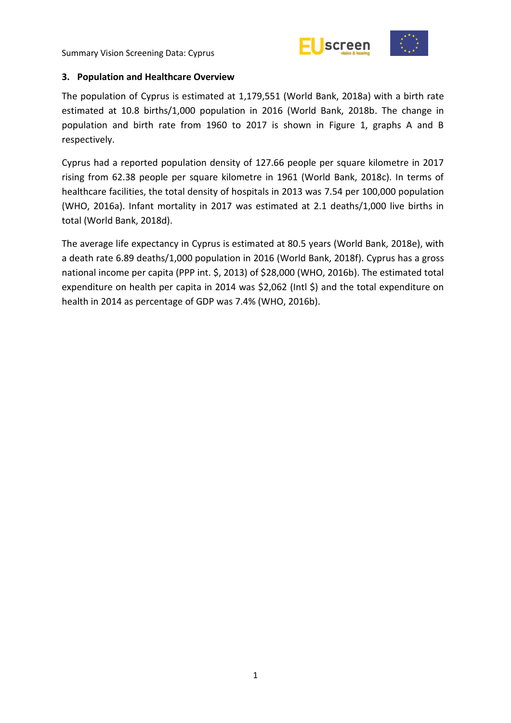



#### <span id="page-6-0"></span>**3. Population and Healthcare Overview**

The population of Cyprus is estimated at 1,179,551 (World Bank, 2018a) with a birth rate estimated at 10.8 births/1,000 population in 2016 (World Bank, 2018b. The change in population and birth rate from 1960 to 2017 is shown in Figure 1, graphs A and B respectively.

Cyprus had a reported population density of 127.66 people per square kilometre in 2017 rising from 62.38 people per square kilometre in 1961 (World Bank, 2018c). In terms of healthcare facilities, the total density of hospitals in 2013 was 7.54 per 100,000 population (WHO, 2016a). Infant mortality in 2017 was estimated at 2.1 deaths/1,000 live births in total (World Bank, 2018d).

The average life expectancy in Cyprus is estimated at 80.5 years (World Bank, 2018e), with a death rate 6.89 deaths/1,000 population in 2016 (World Bank, 2018f). Cyprus has a gross national income per capita (PPP int. \$, 2013) of \$28,000 (WHO, 2016b). The estimated total expenditure on health per capita in 2014 was \$2,062 (Intl \$) and the total expenditure on health in 2014 as percentage of GDP was 7.4% (WHO, 2016b).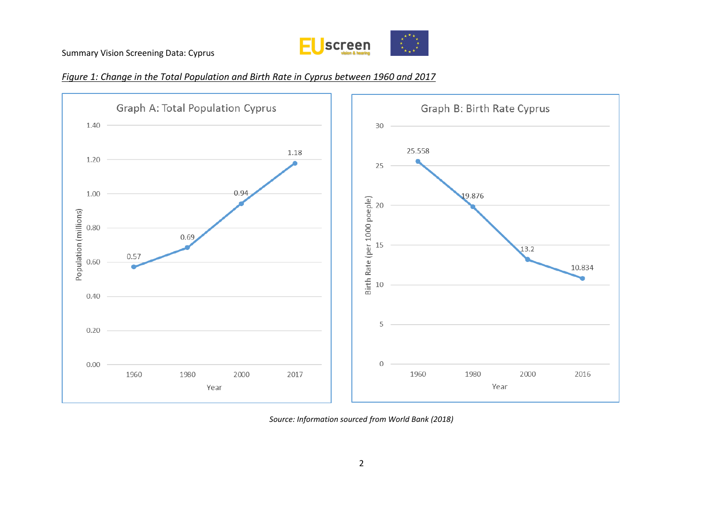

#### *Figure 1: Change in the Total Population and Birth Rate in Cyprus between 1960 and 2017*



*Source: Information sourced from World Bank (2018)*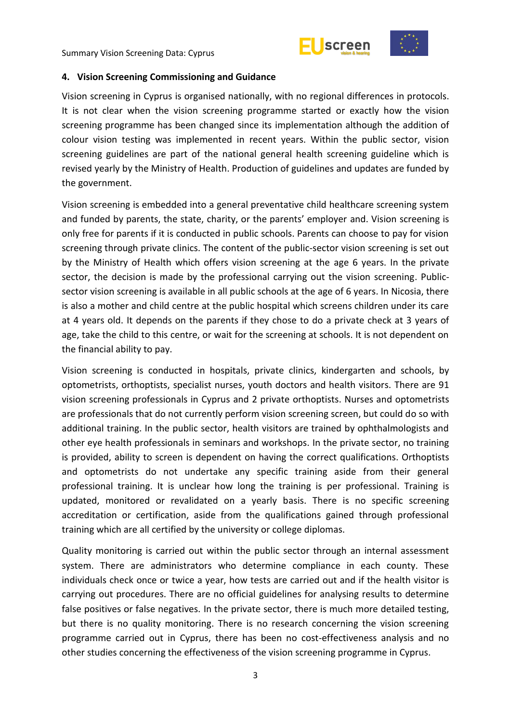



#### <span id="page-8-0"></span>**4. Vision Screening Commissioning and Guidance**

Vision screening in Cyprus is organised nationally, with no regional differences in protocols. It is not clear when the vision screening programme started or exactly how the vision screening programme has been changed since its implementation although the addition of colour vision testing was implemented in recent years. Within the public sector, vision screening guidelines are part of the national general health screening guideline which is revised yearly by the Ministry of Health. Production of guidelines and updates are funded by the government.

Vision screening is embedded into a general preventative child healthcare screening system and funded by parents, the state, charity, or the parents' employer and. Vision screening is only free for parents if it is conducted in public schools. Parents can choose to pay for vision screening through private clinics. The content of the public-sector vision screening is set out by the Ministry of Health which offers vision screening at the age 6 years. In the private sector, the decision is made by the professional carrying out the vision screening. Publicsector vision screening is available in all public schools at the age of 6 years. In Nicosia, there is also a mother and child centre at the public hospital which screens children under its care at 4 years old. It depends on the parents if they chose to do a private check at 3 years of age, take the child to this centre, or wait for the screening at schools. It is not dependent on the financial ability to pay.

Vision screening is conducted in hospitals, private clinics, kindergarten and schools, by optometrists, orthoptists, specialist nurses, youth doctors and health visitors. There are 91 vision screening professionals in Cyprus and 2 private orthoptists. Nurses and optometrists are professionals that do not currently perform vision screening screen, but could do so with additional training. In the public sector, health visitors are trained by ophthalmologists and other eye health professionals in seminars and workshops. In the private sector, no training is provided, ability to screen is dependent on having the correct qualifications. Orthoptists and optometrists do not undertake any specific training aside from their general professional training. It is unclear how long the training is per professional. Training is updated, monitored or revalidated on a yearly basis. There is no specific screening accreditation or certification, aside from the qualifications gained through professional training which are all certified by the university or college diplomas.

Quality monitoring is carried out within the public sector through an internal assessment system. There are administrators who determine compliance in each county. These individuals check once or twice a year, how tests are carried out and if the health visitor is carrying out procedures. There are no official guidelines for analysing results to determine false positives or false negatives. In the private sector, there is much more detailed testing, but there is no quality monitoring. There is no research concerning the vision screening programme carried out in Cyprus, there has been no cost-effectiveness analysis and no other studies concerning the effectiveness of the vision screening programme in Cyprus.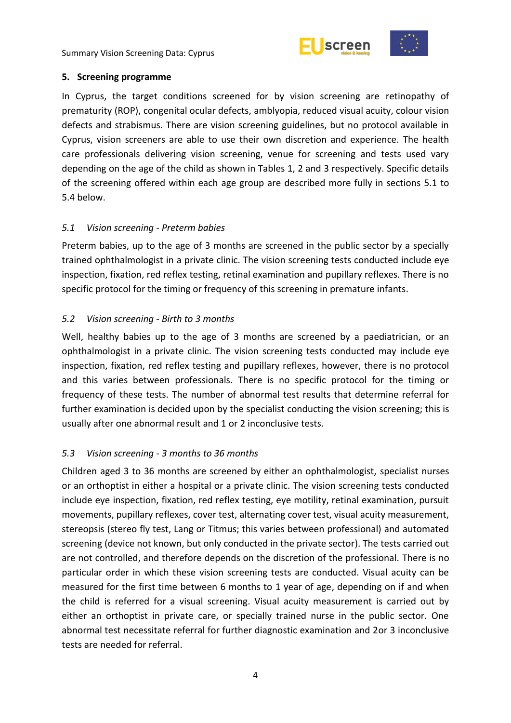

#### <span id="page-9-0"></span>**5. Screening programme**

In Cyprus, the target conditions screened for by vision screening are retinopathy of prematurity (ROP), congenital ocular defects, amblyopia, reduced visual acuity, colour vision defects and strabismus. There are vision screening guidelines, but no protocol available in Cyprus, vision screeners are able to use their own discretion and experience. The health care professionals delivering vision screening, venue for screening and tests used vary depending on the age of the child as shown in Tables 1, 2 and 3 respectively. Specific details of the screening offered within each age group are described more fully in sections 5.1 to 5.4 below.

#### <span id="page-9-1"></span>*5.1 Vision screening - Preterm babies*

Preterm babies, up to the age of 3 months are screened in the public sector by a specially trained ophthalmologist in a private clinic. The vision screening tests conducted include eye inspection, fixation, red reflex testing, retinal examination and pupillary reflexes. There is no specific protocol for the timing or frequency of this screening in premature infants.

#### <span id="page-9-2"></span>*5.2 Vision screening - Birth to 3 months*

Well, healthy babies up to the age of 3 months are screened by a paediatrician, or an ophthalmologist in a private clinic. The vision screening tests conducted may include eye inspection, fixation, red reflex testing and pupillary reflexes, however, there is no protocol and this varies between professionals. There is no specific protocol for the timing or frequency of these tests. The number of abnormal test results that determine referral for further examination is decided upon by the specialist conducting the vision screening; this is usually after one abnormal result and 1 or 2 inconclusive tests.

#### <span id="page-9-3"></span>*5.3 Vision screening - 3 months to 36 months*

Children aged 3 to 36 months are screened by either an ophthalmologist, specialist nurses or an orthoptist in either a hospital or a private clinic. The vision screening tests conducted include eye inspection, fixation, red reflex testing, eye motility, retinal examination, pursuit movements, pupillary reflexes, cover test, alternating cover test, visual acuity measurement, stereopsis (stereo fly test, Lang or Titmus; this varies between professional) and automated screening (device not known, but only conducted in the private sector). The tests carried out are not controlled, and therefore depends on the discretion of the professional. There is no particular order in which these vision screening tests are conducted. Visual acuity can be measured for the first time between 6 months to 1 year of age, depending on if and when the child is referred for a visual screening. Visual acuity measurement is carried out by either an orthoptist in private care, or specially trained nurse in the public sector. One abnormal test necessitate referral for further diagnostic examination and 2or 3 inconclusive tests are needed for referral.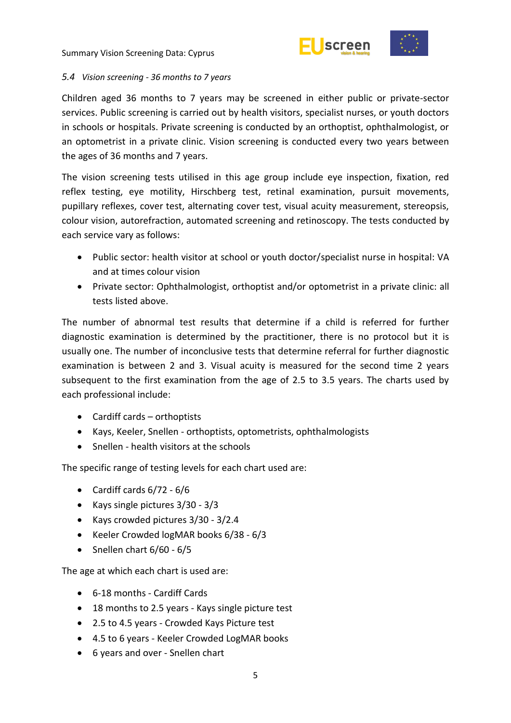



#### *5.4 Vision screening - 36 months to 7 years*

Children aged 36 months to 7 years may be screened in either public or private-sector services. Public screening is carried out by health visitors, specialist nurses, or youth doctors in schools or hospitals. Private screening is conducted by an orthoptist, ophthalmologist, or an optometrist in a private clinic. Vision screening is conducted every two years between the ages of 36 months and 7 years.

The vision screening tests utilised in this age group include eye inspection, fixation, red reflex testing, eye motility, Hirschberg test, retinal examination, pursuit movements, pupillary reflexes, cover test, alternating cover test, visual acuity measurement, stereopsis, colour vision, autorefraction, automated screening and retinoscopy. The tests conducted by each service vary as follows:

- Public sector: health visitor at school or youth doctor/specialist nurse in hospital: VA and at times colour vision
- Private sector: Ophthalmologist, orthoptist and/or optometrist in a private clinic: all tests listed above.

The number of abnormal test results that determine if a child is referred for further diagnostic examination is determined by the practitioner, there is no protocol but it is usually one. The number of inconclusive tests that determine referral for further diagnostic examination is between 2 and 3. Visual acuity is measured for the second time 2 years subsequent to the first examination from the age of 2.5 to 3.5 years. The charts used by each professional include:

- Cardiff cards orthoptists
- Kays, Keeler, Snellen orthoptists, optometrists, ophthalmologists
- Snellen health visitors at the schools

The specific range of testing levels for each chart used are:

- $\bullet$  Cardiff cards  $6/72 6/6$
- Kays single pictures 3/30 3/3
- Kays crowded pictures 3/30 3/2.4
- Keeler Crowded logMAR books 6/38 6/3
- $\bullet$  Snellen chart  $6/60 6/5$

The age at which each chart is used are:

- 6-18 months Cardiff Cards
- 18 months to 2.5 years Kays single picture test
- 2.5 to 4.5 years Crowded Kays Picture test
- 4.5 to 6 years Keeler Crowded LogMAR books
- 6 years and over Snellen chart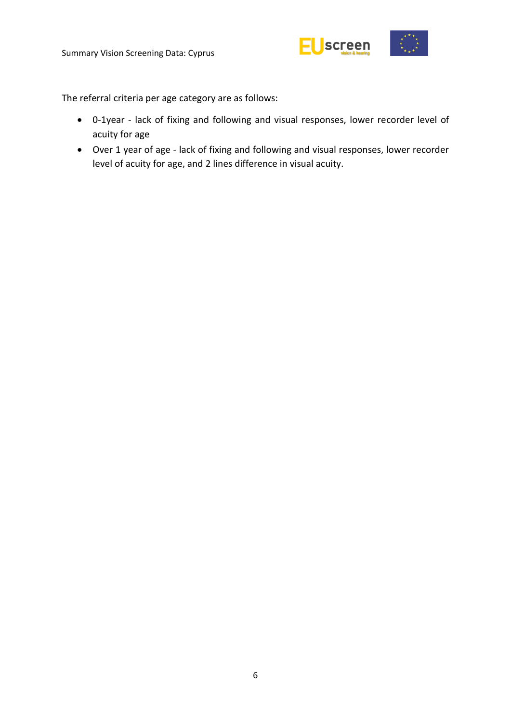

The referral criteria per age category are as follows:

- 0-1year lack of fixing and following and visual responses, lower recorder level of acuity for age
- Over 1 year of age lack of fixing and following and visual responses, lower recorder level of acuity for age, and 2 lines difference in visual acuity.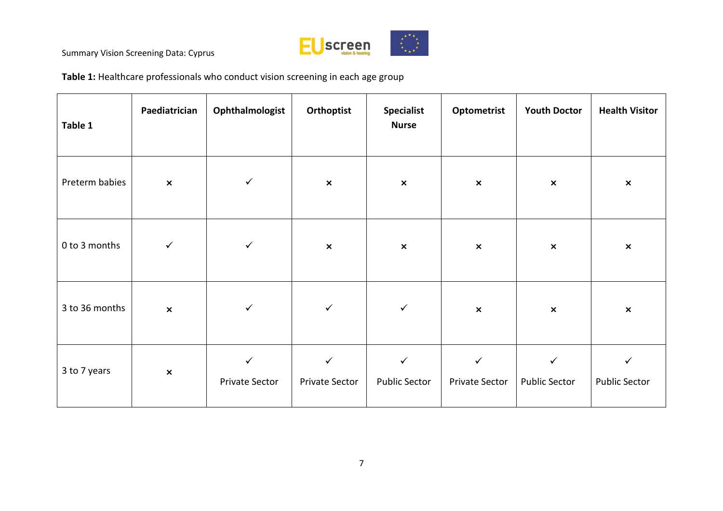

**Table 1:** Healthcare professionals who conduct vision screening in each age group

| Table 1        | Paediatrician  | Ophthalmologist                | Orthoptist                     | <b>Specialist</b><br><b>Nurse</b>    | Optometrist                    | <b>Youth Doctor</b>                  | <b>Health Visitor</b>                |
|----------------|----------------|--------------------------------|--------------------------------|--------------------------------------|--------------------------------|--------------------------------------|--------------------------------------|
| Preterm babies | $\pmb{\times}$ | $\checkmark$                   | $\pmb{\times}$                 | $\pmb{\times}$                       | $\pmb{\times}$                 | $\boldsymbol{\mathsf{x}}$            | $\pmb{\times}$                       |
| 0 to 3 months  | $\checkmark$   | $\checkmark$                   | $\pmb{\times}$                 | $\pmb{\times}$                       | $\pmb{\times}$                 | $\pmb{\times}$                       | $\pmb{\times}$                       |
| 3 to 36 months | $\pmb{\times}$ | $\checkmark$                   | $\checkmark$                   | $\checkmark$                         | $\pmb{\times}$                 | $\pmb{\times}$                       | $\pmb{\times}$                       |
| 3 to 7 years   | $\pmb{\times}$ | $\checkmark$<br>Private Sector | $\checkmark$<br>Private Sector | $\checkmark$<br><b>Public Sector</b> | $\checkmark$<br>Private Sector | $\checkmark$<br><b>Public Sector</b> | $\checkmark$<br><b>Public Sector</b> |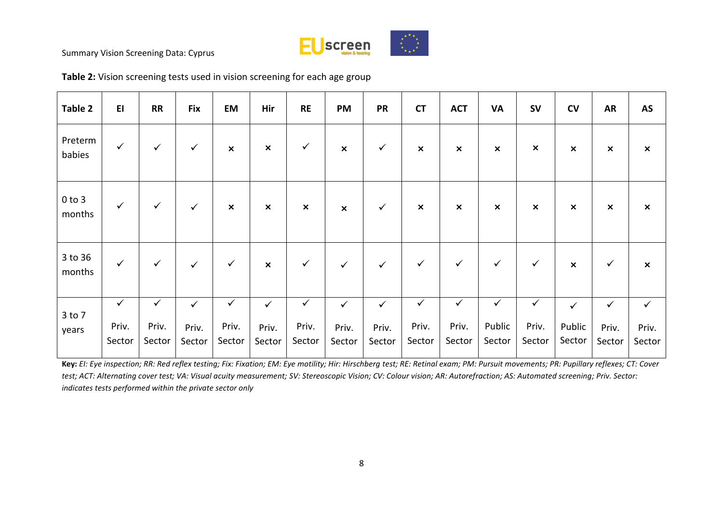

| Table 2              | E1              | <b>RR</b>       | <b>Fix</b>      | <b>EM</b>       | Hir             | <b>RE</b>       | <b>PM</b>                 | <b>PR</b>       | <b>CT</b>                 | <b>ACT</b>                | <b>VA</b>        | <b>SV</b>                 | CV                        | <b>AR</b>                 | AS                        |
|----------------------|-----------------|-----------------|-----------------|-----------------|-----------------|-----------------|---------------------------|-----------------|---------------------------|---------------------------|------------------|---------------------------|---------------------------|---------------------------|---------------------------|
| Preterm<br>babies    | $\checkmark$    | $\checkmark$    | $\checkmark$    | $\pmb{\times}$  | $\pmb{\times}$  | $\checkmark$    | $\boldsymbol{\mathsf{x}}$ | $\checkmark$    | $\boldsymbol{\mathsf{x}}$ | $\pmb{\times}$            | $\pmb{\times}$   | $\boldsymbol{\mathsf{x}}$ | $\boldsymbol{\mathsf{x}}$ | $\boldsymbol{\mathsf{x}}$ | $\boldsymbol{\mathsf{x}}$ |
| $0$ to $3$<br>months | $\checkmark$    | $\checkmark$    | $\checkmark$    | $\pmb{\times}$  | $\pmb{\times}$  | $\pmb{\times}$  | $\pmb{\times}$            | $\checkmark$    | $\boldsymbol{\mathsf{x}}$ | $\boldsymbol{\mathsf{x}}$ | $\pmb{\times}$   | $\boldsymbol{\mathsf{x}}$ | $\boldsymbol{\mathsf{x}}$ | $\pmb{\times}$            | $\pmb{\times}$            |
| 3 to 36<br>months    | $\checkmark$    | $\checkmark$    | $\checkmark$    | $\checkmark$    | $\pmb{\times}$  | $\checkmark$    | $\checkmark$              | $\checkmark$    | $\checkmark$              | $\checkmark$              | $\checkmark$     | $\checkmark$              | $\boldsymbol{\mathsf{x}}$ | ✓                         | $\boldsymbol{\mathsf{x}}$ |
| 3 to 7               | $\checkmark$    | $\checkmark$    | $\checkmark$    | $\checkmark$    | $\checkmark$    | $\checkmark$    | $\checkmark$              | $\checkmark$    | $\checkmark$              | $\checkmark$              | $\checkmark$     | $\checkmark$              | $\checkmark$              | $\checkmark$              | $\checkmark$              |
| years                | Priv.<br>Sector | Priv.<br>Sector | Priv.<br>Sector | Priv.<br>Sector | Priv.<br>Sector | Priv.<br>Sector | Priv.<br>Sector           | Priv.<br>Sector | Priv.<br>Sector           | Priv.<br>Sector           | Public<br>Sector | Priv.<br>Sector           | Public<br>Sector          | Priv.<br>Sector           | Priv.<br>Sector           |

**Table 2:** Vision screening tests used in vision screening for each age group

**Key:** *EI: Eye inspection; RR: Red reflex testing; Fix: Fixation; EM: Eye motility; Hir: Hirschberg test; RE: Retinal exam; PM: Pursuit movements; PR: Pupillary reflexes; CT: Cover test; ACT: Alternating cover test; VA: Visual acuity measurement; SV: Stereoscopic Vision; CV: Colour vision; AR: Autorefraction; AS: Automated screening; Priv. Sector: indicates tests performed within the private sector only*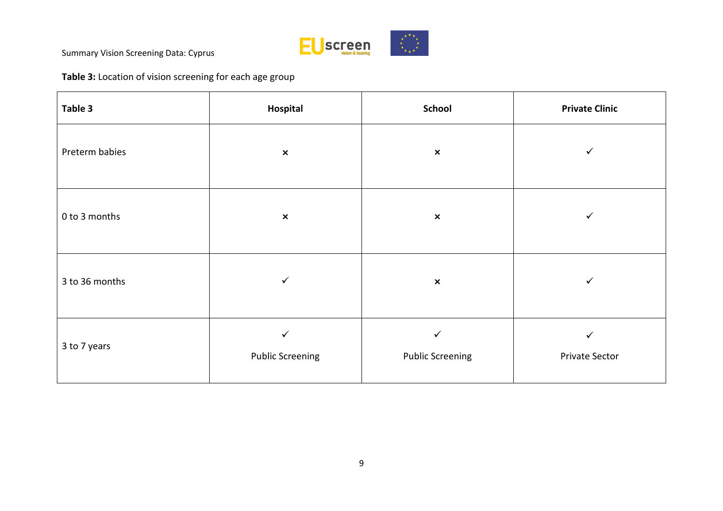

**Table 3:** Location of vision screening for each age group

| Table 3        | Hospital                     | <b>School</b>                | <b>Private Clinic</b> |  |  |  |
|----------------|------------------------------|------------------------------|-----------------------|--|--|--|
| Preterm babies | $\pmb{\times}$               | $\pmb{\times}$               |                       |  |  |  |
| 0 to 3 months  | $\pmb{\times}$               | $\pmb{\times}$               | $\checkmark$          |  |  |  |
| 3 to 36 months | $\checkmark$                 | $\pmb{\times}$               | ✓                     |  |  |  |
| 3 to 7 years   | ✓<br><b>Public Screening</b> | ✓<br><b>Public Screening</b> | ✓<br>Private Sector   |  |  |  |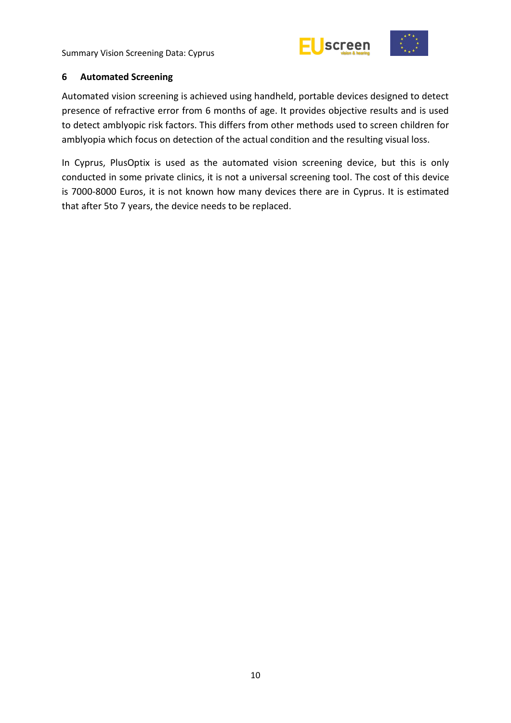



#### <span id="page-15-0"></span>**6 Automated Screening**

Automated vision screening is achieved using handheld, portable devices designed to detect presence of refractive error from 6 months of age. It provides objective results and is used to detect amblyopic risk factors. This differs from other methods used to screen children for amblyopia which focus on detection of the actual condition and the resulting visual loss.

In Cyprus, PlusOptix is used as the automated vision screening device, but this is only conducted in some private clinics, it is not a universal screening tool. The cost of this device is 7000-8000 Euros, it is not known how many devices there are in Cyprus. It is estimated that after 5to 7 years, the device needs to be replaced.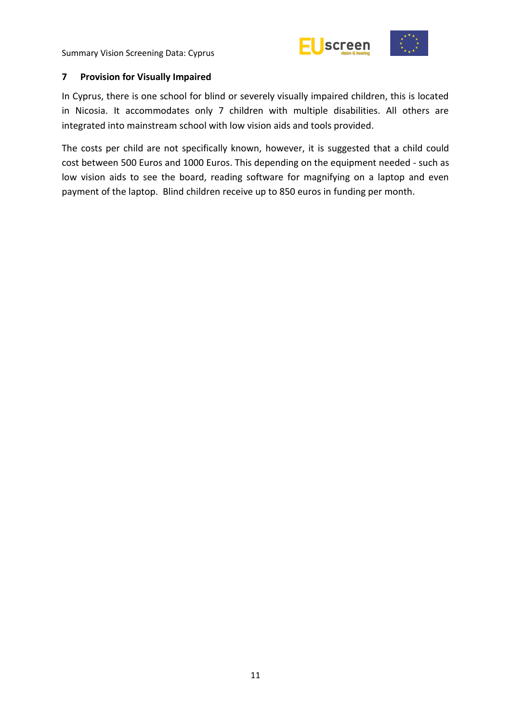



#### <span id="page-16-0"></span>**7 Provision for Visually Impaired**

In Cyprus, there is one school for blind or severely visually impaired children, this is located in Nicosia. It accommodates only 7 children with multiple disabilities. All others are integrated into mainstream school with low vision aids and tools provided.

The costs per child are not specifically known, however, it is suggested that a child could cost between 500 Euros and 1000 Euros. This depending on the equipment needed - such as low vision aids to see the board, reading software for magnifying on a laptop and even payment of the laptop. Blind children receive up to 850 euros in funding per month.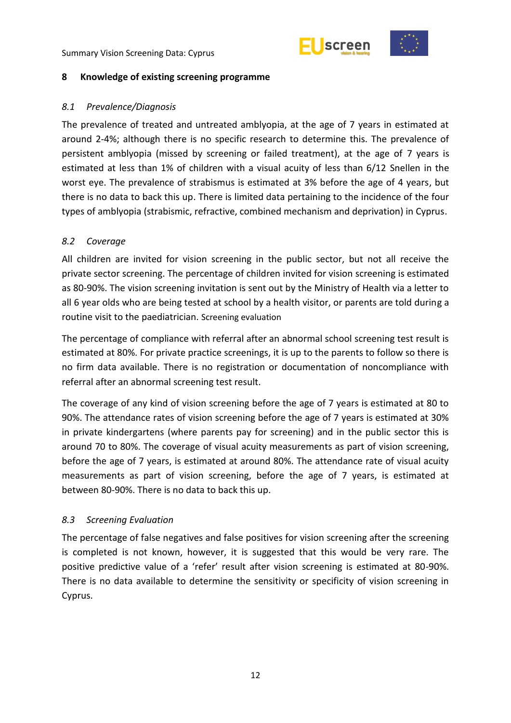



#### <span id="page-17-0"></span>**8 Knowledge of existing screening programme**

#### <span id="page-17-1"></span>*8.1 Prevalence/Diagnosis*

The prevalence of treated and untreated amblyopia, at the age of 7 years in estimated at around 2-4%; although there is no specific research to determine this. The prevalence of persistent amblyopia (missed by screening or failed treatment), at the age of 7 years is estimated at less than 1% of children with a visual acuity of less than 6/12 Snellen in the worst eye. The prevalence of strabismus is estimated at 3% before the age of 4 years, but there is no data to back this up. There is limited data pertaining to the incidence of the four types of amblyopia (strabismic, refractive, combined mechanism and deprivation) in Cyprus.

#### <span id="page-17-2"></span>*8.2 Coverage*

All children are invited for vision screening in the public sector, but not all receive the private sector screening. The percentage of children invited for vision screening is estimated as 80-90%. The vision screening invitation is sent out by the Ministry of Health via a letter to all 6 year olds who are being tested at school by a health visitor, or parents are told during a routine visit to the paediatrician. Screening evaluation

The percentage of compliance with referral after an abnormal school screening test result is estimated at 80%. For private practice screenings, it is up to the parents to follow so there is no firm data available. There is no registration or documentation of noncompliance with referral after an abnormal screening test result.

The coverage of any kind of vision screening before the age of 7 years is estimated at 80 to 90%. The attendance rates of vision screening before the age of 7 years is estimated at 30% in private kindergartens (where parents pay for screening) and in the public sector this is around 70 to 80%. The coverage of visual acuity measurements as part of vision screening, before the age of 7 years, is estimated at around 80%. The attendance rate of visual acuity measurements as part of vision screening, before the age of 7 years, is estimated at between 80-90%. There is no data to back this up.

#### <span id="page-17-3"></span>*8.3 Screening Evaluation*

The percentage of false negatives and false positives for vision screening after the screening is completed is not known, however, it is suggested that this would be very rare. The positive predictive value of a 'refer' result after vision screening is estimated at 80-90%. There is no data available to determine the sensitivity or specificity of vision screening in Cyprus.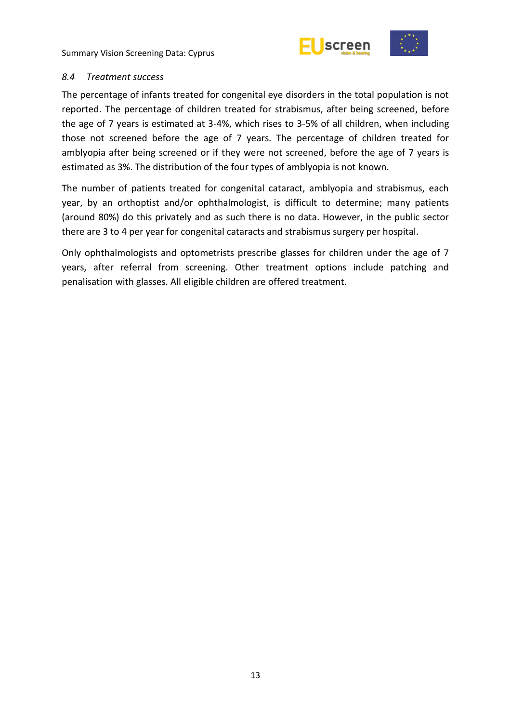

#### <span id="page-18-0"></span>*8.4 Treatment success*

The percentage of infants treated for congenital eye disorders in the total population is not reported. The percentage of children treated for strabismus, after being screened, before the age of 7 years is estimated at 3-4%, which rises to 3-5% of all children, when including those not screened before the age of 7 years. The percentage of children treated for amblyopia after being screened or if they were not screened, before the age of 7 years is estimated as 3%. The distribution of the four types of amblyopia is not known.

The number of patients treated for congenital cataract, amblyopia and strabismus, each year, by an orthoptist and/or ophthalmologist, is difficult to determine; many patients (around 80%) do this privately and as such there is no data. However, in the public sector there are 3 to 4 per year for congenital cataracts and strabismus surgery per hospital.

Only ophthalmologists and optometrists prescribe glasses for children under the age of 7 years, after referral from screening. Other treatment options include patching and penalisation with glasses. All eligible children are offered treatment.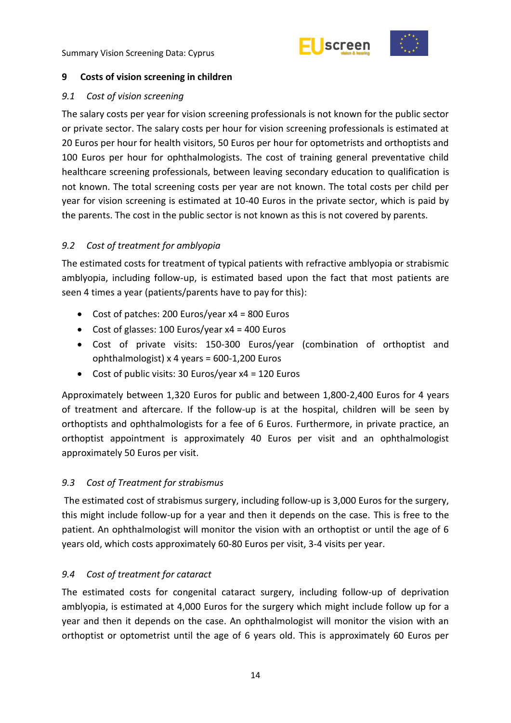



#### <span id="page-19-0"></span>**9 Costs of vision screening in children**

#### <span id="page-19-1"></span>*9.1 Cost of vision screening*

The salary costs per year for vision screening professionals is not known for the public sector or private sector. The salary costs per hour for vision screening professionals is estimated at 20 Euros per hour for health visitors, 50 Euros per hour for optometrists and orthoptists and 100 Euros per hour for ophthalmologists. The cost of training general preventative child healthcare screening professionals, between leaving secondary education to qualification is not known. The total screening costs per year are not known. The total costs per child per year for vision screening is estimated at 10-40 Euros in the private sector, which is paid by the parents. The cost in the public sector is not known as this is not covered by parents.

#### <span id="page-19-2"></span>*9.2 Cost of treatment for amblyopia*

The estimated costs for treatment of typical patients with refractive amblyopia or strabismic amblyopia, including follow-up, is estimated based upon the fact that most patients are seen 4 times a year (patients/parents have to pay for this):

- Cost of patches: 200 Euros/year x4 = 800 Euros
- Cost of glasses: 100 Euros/year  $x4 = 400$  Euros
- Cost of private visits: 150-300 Euros/year (combination of orthoptist and ophthalmologist) x 4 years = 600-1,200 Euros
- Cost of public visits: 30 Euros/year x4 = 120 Euros

Approximately between 1,320 Euros for public and between 1,800-2,400 Euros for 4 years of treatment and aftercare. If the follow-up is at the hospital, children will be seen by orthoptists and ophthalmologists for a fee of 6 Euros. Furthermore, in private practice, an orthoptist appointment is approximately 40 Euros per visit and an ophthalmologist approximately 50 Euros per visit.

#### <span id="page-19-3"></span>*9.3 Cost of Treatment for strabismus*

The estimated cost of strabismus surgery, including follow-up is 3,000 Euros for the surgery, this might include follow-up for a year and then it depends on the case. This is free to the patient. An ophthalmologist will monitor the vision with an orthoptist or until the age of 6 years old, which costs approximately 60-80 Euros per visit, 3-4 visits per year.

#### <span id="page-19-4"></span>*9.4 Cost of treatment for cataract*

The estimated costs for congenital cataract surgery, including follow-up of deprivation amblyopia, is estimated at 4,000 Euros for the surgery which might include follow up for a year and then it depends on the case. An ophthalmologist will monitor the vision with an orthoptist or optometrist until the age of 6 years old. This is approximately 60 Euros per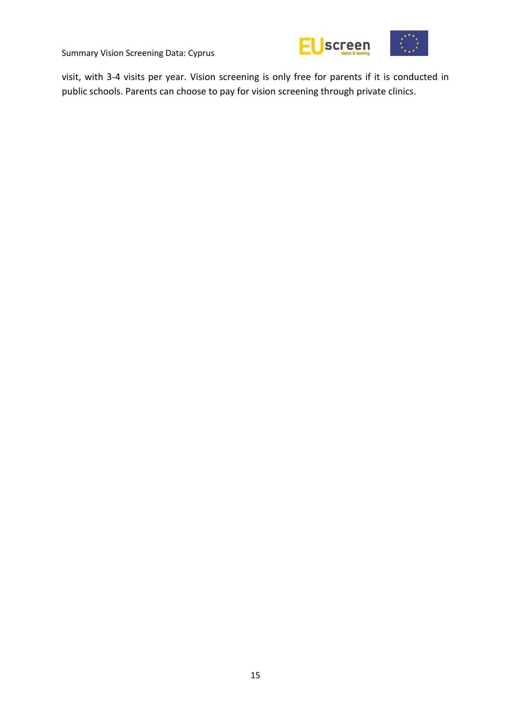

visit, with 3-4 visits per year. Vision screening is only free for parents if it is conducted in public schools. Parents can choose to pay for vision screening through private clinics.